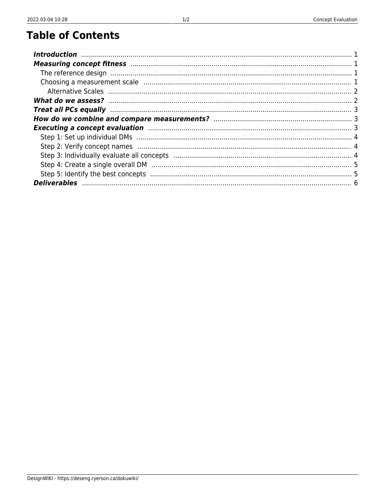## **Table of Contents**

| Measuring concept fitness manufactured and all proportional contracts of the state of the state of the state of $1$                                                                                                            |  |
|--------------------------------------------------------------------------------------------------------------------------------------------------------------------------------------------------------------------------------|--|
|                                                                                                                                                                                                                                |  |
|                                                                                                                                                                                                                                |  |
|                                                                                                                                                                                                                                |  |
|                                                                                                                                                                                                                                |  |
| Treat all PCs equally manufactured and all pCs equally manufactured and all pCs equally manufactured and all p                                                                                                                 |  |
|                                                                                                                                                                                                                                |  |
| Executing a concept evaluation manufactured and a series of the state of the state of the state of the state of the state of the state of the state of the state of the state of the state of the state of the state of the st |  |
|                                                                                                                                                                                                                                |  |
|                                                                                                                                                                                                                                |  |
|                                                                                                                                                                                                                                |  |
|                                                                                                                                                                                                                                |  |
|                                                                                                                                                                                                                                |  |
|                                                                                                                                                                                                                                |  |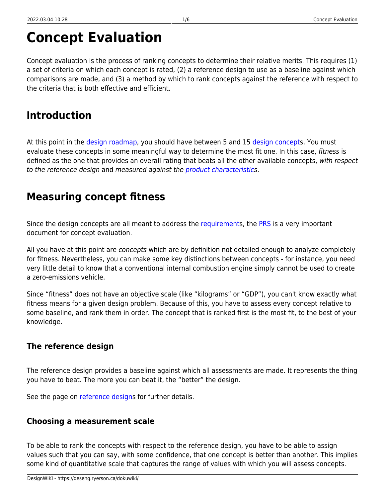# **Concept Evaluation**

Concept evaluation is the process of ranking concepts to determine their relative merits. This requires (1) a set of criteria on which each concept is rated, (2) a reference design to use as a baseline against which comparisons are made, and (3) a method by which to rank concepts against the reference with respect to the criteria that is both effective and efficient.

### <span id="page-2-0"></span>**Introduction**

At this point in the [design roadmap,](https://deseng.ryerson.ca/dokuwiki/design:design_roadmap) you should have between 5 and 15 [design concept](https://deseng.ryerson.ca/dokuwiki/design:design_concept)s. You must evaluate these concepts in some meaningful way to determine the most fit one. In this case, fitness is defined as the one that provides an overall rating that beats all the other available concepts, with respect to the reference design and measured against the [product characteristic](https://deseng.ryerson.ca/dokuwiki/design:product_characteristic)s.

### <span id="page-2-1"></span>**Measuring concept fitness**

Since the design concepts are all meant to address the [requirement](https://deseng.ryerson.ca/dokuwiki/design:requirement)s, the [PRS](https://deseng.ryerson.ca/dokuwiki/design:prs) is a very important document for concept evaluation.

All you have at this point are *concepts* which are by definition not detailed enough to analyze completely for fitness. Nevertheless, you can make some key distinctions between concepts - for instance, you need very little detail to know that a conventional internal combustion engine simply cannot be used to create a zero-emissions vehicle.

Since "fitness" does not have an objective scale (like "kilograms" or "GDP"), you can't know exactly what fitness means for a given design problem. Because of this, you have to assess every concept relative to some baseline, and rank them in order. The concept that is ranked first is the most fit, to the best of your knowledge.

### <span id="page-2-2"></span>**The reference design**

The reference design provides a baseline against which all assessments are made. It represents the thing you have to beat. The more you can beat it, the "better" the design.

See the page on [reference designs](https://deseng.ryerson.ca/dokuwiki/design:reference_design) for further details.

### <span id="page-2-3"></span>**Choosing a measurement scale**

To be able to rank the concepts with respect to the reference design, you have to be able to assign values such that you can say, with some confidence, that one concept is better than another. This implies some kind of quantitative scale that captures the range of values with which you will assess concepts.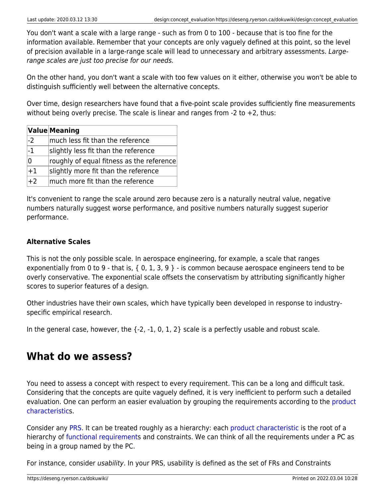You don't want a scale with a large range - such as from 0 to 100 - because that is too fine for the information available. Remember that your concepts are only vaguely defined at this point, so the level of precision available in a large-range scale will lead to unnecessary and arbitrary assessments. Largerange scales are just too precise for our needs.

On the other hand, you don't want a scale with too few values on it either, otherwise you won't be able to distinguish sufficiently well between the alternative concepts.

Over time, design researchers have found that a five-point scale provides sufficiently fine measurements without being overly precise. The scale is linear and ranges from  $-2$  to  $+2$ , thus:

|                 | <b>Value Meaning</b>                      |
|-----------------|-------------------------------------------|
| $-2$            | much less fit than the reference          |
| $-1$            | slightly less fit than the reference      |
| 0               | roughly of equal fitness as the reference |
| $+1$            | slightly more fit than the reference      |
| $\overline{+2}$ | much more fit than the reference          |

It's convenient to range the scale around zero because zero is a naturally neutral value, negative numbers naturally suggest worse performance, and positive numbers naturally suggest superior performance.

#### <span id="page-3-0"></span>**Alternative Scales**

This is not the only possible scale. In aerospace engineering, for example, a scale that ranges exponentially from 0 to 9 - that is,  $\{0, 1, 3, 9\}$  - is common because aerospace engineers tend to be overly conservative. The exponential scale offsets the conservatism by attributing significantly higher scores to superior features of a design.

Other industries have their own scales, which have typically been developed in response to industryspecific empirical research.

In the general case, however, the  $\{-2, -1, 0, 1, 2\}$  scale is a perfectly usable and robust scale.

### <span id="page-3-1"></span>**What do we assess?**

You need to assess a concept with respect to every requirement. This can be a long and difficult task. Considering that the concepts are quite vaguely defined, it is very inefficient to perform such a detailed evaluation. One can perform an easier evaluation by grouping the requirements according to the [product](https://deseng.ryerson.ca/dokuwiki/design:product_characteristic) [characteristics](https://deseng.ryerson.ca/dokuwiki/design:product_characteristic).

Consider any [PRS.](https://deseng.ryerson.ca/dokuwiki/design:prs) It can be treated roughly as a hierarchy: each [product characteristic](https://deseng.ryerson.ca/dokuwiki/design:product_characteristic) is the root of a hierarchy of [functional requirement](https://deseng.ryerson.ca/dokuwiki/design:functional_requirement)s and constraints. We can think of all the requirements under a PC as being in a group named by the PC.

For instance, consider usability. In your PRS, usability is defined as the set of FRs and Constraints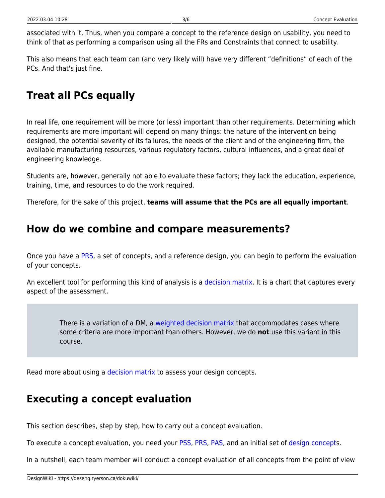associated with it. Thus, when you compare a concept to the reference design on usability, you need to think of that as performing a comparison using all the FRs and Constraints that connect to usability.

This also means that each team can (and very likely will) have very different "definitions" of each of the PCs. And that's just fine.

### <span id="page-4-0"></span>**Treat all PCs equally**

In real life, one requirement will be more (or less) important than other requirements. Determining which requirements are more important will depend on many things: the nature of the intervention being designed, the potential severity of its failures, the needs of the client and of the engineering firm, the available manufacturing resources, various regulatory factors, cultural influences, and a great deal of engineering knowledge.

Students are, however, generally not able to evaluate these factors; they lack the education, experience, training, time, and resources to do the work required.

Therefore, for the sake of this project, **teams will assume that the PCs are all equally important**.

### <span id="page-4-1"></span>**How do we combine and compare measurements?**

Once you have a [PRS](https://deseng.ryerson.ca/dokuwiki/design:prs), a set of concepts, and a reference design, you can begin to perform the evaluation of your concepts.

An excellent tool for performing this kind of analysis is a [decision matrix.](https://deseng.ryerson.ca/dokuwiki/design:decision_matrix) It is a chart that captures every aspect of the assessment.

There is a variation of a DM, a [weighted decision matrix](https://deseng.ryerson.ca/dokuwiki/design:weighted_decision_matrix) that accommodates cases where some criteria are more important than others. However, we do **not** use this variant in this course.

Read more about using a [decision matrix](https://deseng.ryerson.ca/dokuwiki/design:decision_matrix) to assess your design concepts.

### <span id="page-4-2"></span>**Executing a concept evaluation**

This section describes, step by step, how to carry out a concept evaluation.

To execute a concept evaluation, you need your [PSS,](https://deseng.ryerson.ca/dokuwiki/design:pss) [PRS](https://deseng.ryerson.ca/dokuwiki/design:prs), [PAS,](https://deseng.ryerson.ca/dokuwiki/design:pas) and an initial set of [design concepts](https://deseng.ryerson.ca/dokuwiki/design:design_concept).

In a nutshell, each team member will conduct a concept evaluation of all concepts from the point of view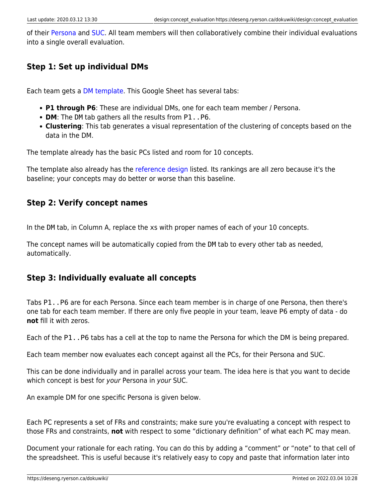of their [Persona](https://deseng.ryerson.ca/dokuwiki/design:persona) and [SUC](https://deseng.ryerson.ca/dokuwiki/design:suc). All team members will then collaboratively combine their individual evaluations into a single overall evaluation.

#### <span id="page-5-0"></span>**Step 1: Set up individual DMs**

Each team gets a [DM template](https://docs.google.com/spreadsheets/d/1QDuip84dDY_11aL8WWE5j_hA_x16vLmVV4yijVIBYHA/edit?usp=sharing). This Google Sheet has several tabs:

- **P1 through P6**: These are individual DMs, one for each team member / Persona.
- **DM**: The DM tab gathers all the results from P1..P6.
- **Clustering**: This tab generates a visual representation of the clustering of concepts based on the data in the DM.

The template already has the basic PCs listed and room for 10 concepts.

The template also already has the [reference design](https://deseng.ryerson.ca/dokuwiki/design:reference_design) listed. Its rankings are all zero because it's the baseline; your concepts may do better or worse than this baseline.

#### <span id="page-5-1"></span>**Step 2: Verify concept names**

In the DM tab, in Column A, replace the xs with proper names of each of your 10 concepts.

The concept names will be automatically copied from the DM tab to every other tab as needed, automatically.

#### <span id="page-5-2"></span>**Step 3: Individually evaluate all concepts**

Tabs P1..P6 are for each Persona. Since each team member is in charge of one Persona, then there's one tab for each team member. If there are only five people in your team, leave P6 empty of data - do **not** fill it with zeros.

Each of the P1..P6 tabs has a cell at the top to name the Persona for which the DM is being prepared.

Each team member now evaluates each concept against all the PCs, for their Persona and SUC.

This can be done individually and in parallel across your team. The idea here is that you want to decide which concept is best for your Persona in your SUC.

An example DM for one specific Persona is given below.

Each PC represents a set of FRs and constraints; make sure you're evaluating a concept with respect to those FRs and constraints, **not** with respect to some "dictionary definition" of what each PC may mean.

Document your rationale for each rating. You can do this by adding a "comment" or "note" to that cell of the spreadsheet. This is useful because it's relatively easy to copy and paste that information later into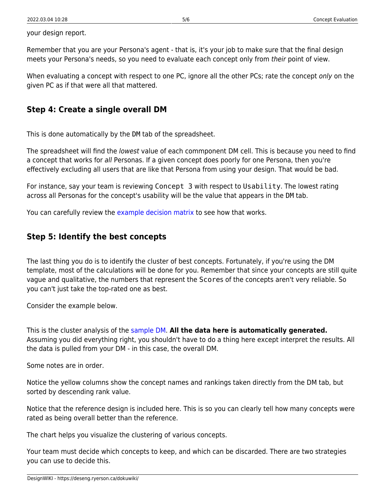your design report.

Remember that you are your Persona's agent - that is, it's your job to make sure that the final design meets your Persona's needs, so you need to evaluate each concept only from their point of view.

When evaluating a concept with respect to one PC, ignore all the other PCs; rate the concept only on the given PC as if that were all that mattered.

#### <span id="page-6-0"></span>**Step 4: Create a single overall DM**

This is done automatically by the DM tab of the spreadsheet.

The spreadsheet will find the lowest value of each commponent DM cell. This is because you need to find a concept that works for all Personas. If a given concept does poorly for one Persona, then you're effectively excluding all users that are like that Persona from using your design. That would be bad.

For instance, say your team is reviewing Concept 3 with respect to Usability. The lowest rating across all Personas for the concept's usability will be the value that appears in the DM tab.

You can carefully review the [example decision matrix](https://docs.google.com/spreadsheets/d/1tcqD4fM6V--zXB4StkRcDuq6qJTytt2Ev-53lmh1tHA/edit?usp=sharing) to see how that works.

#### <span id="page-6-1"></span>**Step 5: Identify the best concepts**

The last thing you do is to identify the cluster of best concepts. Fortunately, if you're using the DM template, most of the calculations will be done for you. Remember that since your concepts are still quite vague and qualitative, the numbers that represent the Scores of the concepts aren't very reliable. So you can't just take the top-rated one as best.

Consider the example below.

This is the cluster analysis of the [sample DM.](https://docs.google.com/spreadsheets/d/1tcqD4fM6V--zXB4StkRcDuq6qJTytt2Ev-53lmh1tHA/edit?usp=sharing) **All the data here is automatically generated.** Assuming you did everything right, you shouldn't have to do a thing here except interpret the results. All the data is pulled from your DM - in this case, the overall DM.

Some notes are in order.

Notice the yellow columns show the concept names and rankings taken directly from the DM tab, but sorted by descending rank value.

Notice that the reference design is included here. This is so you can clearly tell how many concepts were rated as being overall better than the reference.

The chart helps you visualize the clustering of various concepts.

Your team must decide which concepts to keep, and which can be discarded. There are two strategies you can use to decide this.